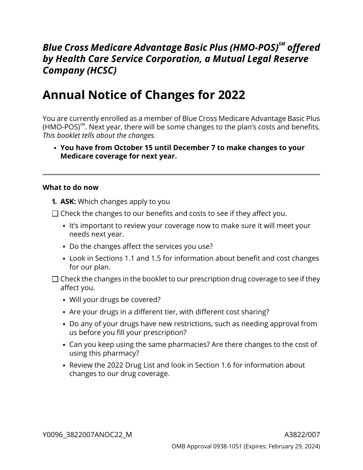# *Blue Cross Medicare Advantage Basic Plus (HMO-POS)SM offered by Health Care Service Corporation, a Mutual Legal Reserve Company (HCSC)*

# **Annual Notice of Changes for 2022**

You are currently enrolled as a member of Blue Cross Medicare Advantage Basic Plus (HMO-POS)SM . Next year, there will be some changes to the plan's costs and benefits*. This booklet tells about the changes.*

**You have from October 15 until December 7 to make changes to your Medicare coverage for next year.**

#### **What to do now**

- **1. ASK:** Which changes apply to you
- $\Box$  Check the changes to our benefits and costs to see if they affect you.
	- It's important to review your coverage now to make sure it will meet your needs next year.
	- Do the changes affect the services you use?
	- Look in Sections [1.1](#page-8-0) and [1.5](#page-10-0) for information about benefit and cost changes for our plan.
- $\Box$  Check the changes in the booklet to our prescription drug coverage to see if they affect you.
	- Will your drugs be covered?
	- Are your drugs in a different tier, with different cost sharing?
	- Do any of your drugs have new restrictions, such as needing approval from us before you fill your prescription?
	- Can you keep using the same pharmacies? Are there changes to the cost of using this pharmacy?
	- Review the 2022 Drug List and look in Section [1.6](#page-14-0) for information about changes to our drug coverage.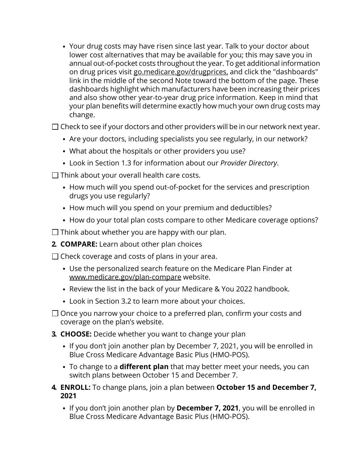Your drug costs may have risen since last year. Talk to your doctor about lower cost alternatives that may be available for you; this may save you in annual out-of-pocket costs throughout the year. To get additional information on drug prices visit [go.medicare.gov/drugprices,](https://go.medicare.gov/drugprices) and click the "dashboards" link in the middle of the second Note toward the bottom of the page. These dashboards highlight which manufacturers have been increasing their prices and also show other year-to-year drug price information. Keep in mind that your plan benefits will determine exactly how much your own drug costs may change.

 $\square$  Check to see if your doctors and other providers will be in our network next year.

- Are your doctors, including specialists you see regularly, in our network?
- What about the hospitals or other providers you use?
- Look in Section [1.3](#page-9-0) for information about our *Provider Directory*.
- $\Box$  Think about your overall health care costs.
	- How much will you spend out-of-pocket for the services and prescription drugs you use regularly?
	- How much will you spend on your premium and deductibles?
	- How do your total plan costs compare to other Medicare coverage options?

 $\Box$  Think about whether you are happy with our plan.

**2. COMPARE:** Learn about other plan choices

 $\Box$  Check coverage and costs of plans in your area.

- Use the personalized search feature on the Medicare Plan Finder at [www.medicare.gov/plan-compare](http://www.medicare.gov/plan-compare) website.
- Review the list in the back of your Medicare & You 2022 handbook.
- Look in Section [3.2](#page-19-0) to learn more about your choices.
- $\Box$  Once you narrow your choice to a preferred plan, confirm your costs and coverage on the plan's website.
- **3. CHOOSE:** Decide whether you want to change your plan
	- If you don't join another plan by December 7, 2021, you will be enrolled in Blue Cross Medicare Advantage Basic Plus (HMO-POS).
	- To change to a **different plan** that may better meet your needs, you can switch plans between October 15 and December 7.
- **4. ENROLL:** To change plans, join a plan between **October 15 and December 7, 2021**
	- If you don't join another plan by **December 7, 2021**, you will be enrolled in Blue Cross Medicare Advantage Basic Plus (HMO-POS).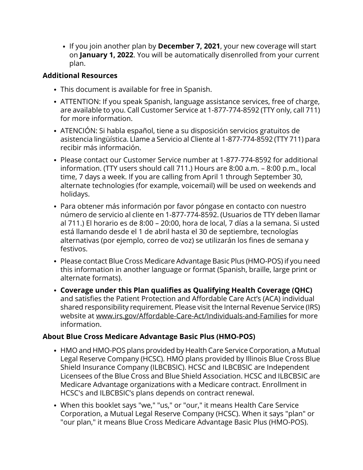If you join another plan by **December 7, 2021**, your new coverage will start on **January 1, 2022**. You will be automatically disenrolled from your current plan.

### **Additional Resources**

- This document is available for free in Spanish.
- ATTENTION: If you speak Spanish, language assistance services, free of charge, are available to you. Call Customer Service at 1-877-774-8592 (TTY only, call 711) for more information.
- ATENCIÓN: Si habla español, tiene a su disposición servicios gratuitos de asistencia lingüística. Llame a Servicio al Cliente al 1-877-774-8592 (TTY 711) para recibir más información.
- Please contact our Customer Service number at 1-877-774-8592 for additional information. (TTY users should call 711.) Hours are 8:00 a.m. – 8:00 p.m., local time, 7 days a week. If you are calling from April 1 through September 30, alternate technologies (for example, voicemail) will be used on weekends and holidays.
- Para obtener más información por favor póngase en contacto con nuestro número de servicio al cliente en 1-877-774-8592. (Usuarios de TTY deben llamar al 711.) El horario es de 8:00 – 20:00, hora de local, 7 días a la semana. Si usted está llamando desde el 1 de abril hasta el 30 de septiembre, tecnologías alternativas (por ejemplo, correo de voz) se utilizarán los fines de semana y festivos.
- Please contact Blue Cross Medicare Advantage Basic Plus (HMO-POS) if you need this information in another language or format (Spanish, braille, large print or alternate formats).
- **Coverage under this Plan qualifies as Qualifying Health Coverage (QHC)** and satisfies the Patient Protection and Affordable Care Act's (ACA) individual shared responsibility requirement. Please visit the Internal Revenue Service (IRS) website at [www.irs.gov/Affordable-Care-Act/Individuals-and-Families](http://www.irs.gov/Affordable-Care-Act/Individuals-and-Families) for more information.

### **About Blue Cross Medicare Advantage Basic Plus (HMO-POS)**

- HMO and HMO-POS plans provided by Health Care Service Corporation, a Mutual Legal Reserve Company (HCSC). HMO plans provided by Illinois Blue Cross Blue Shield Insurance Company (ILBCBSIC). HCSC and ILBCBSIC are Independent Licensees of the Blue Cross and Blue Shield Association. HCSC and ILBCBSIC are Medicare Advantage organizations with a Medicare contract. Enrollment in HCSC's and ILBCBSIC's plans depends on contract renewal.
- When this booklet says "we," "us," or "our," it means Health Care Service Corporation, a Mutual Legal Reserve Company (HCSC). When it says "plan" or "our plan," it means Blue Cross Medicare Advantage Basic Plus (HMO-POS).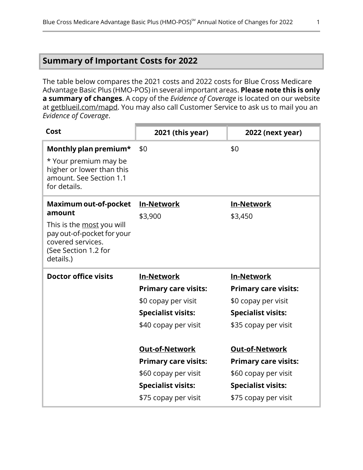# <span id="page-3-0"></span>**Summary of Important Costs for 2022**

The table below compares the 2021 costs and 2022 costs for Blue Cross Medicare Advantage Basic Plus (HMO-POS) in several important areas. **Please note this is only a summary of changes**. A copy of the *Evidence of Coverage* is located on our website at [getblueil.com/mapd](https://www.bcbsil.com/medicare/blue-cross-medicare-options/mapd). You may also call Customer Service to ask us to mail you an *Evidence of Coverage*.

| Cost                                                                                                                                                        | 2021 (this year)                                                                                                                                                                      | 2022 (next year)                                                                                                                                                                      |
|-------------------------------------------------------------------------------------------------------------------------------------------------------------|---------------------------------------------------------------------------------------------------------------------------------------------------------------------------------------|---------------------------------------------------------------------------------------------------------------------------------------------------------------------------------------|
| Monthly plan premium*<br>* Your premium may be<br>higher or lower than this<br>amount. See Section 1.1<br>for details.                                      | \$0                                                                                                                                                                                   | \$0                                                                                                                                                                                   |
| Maximum out-of-pocket<br>amount<br>This is the <u>most</u> you will<br>pay out-of-pocket for your<br>covered services.<br>(See Section 1.2 for<br>details.) | <b>In-Network</b><br>\$3,900                                                                                                                                                          | <b>In-Network</b><br>\$3,450                                                                                                                                                          |
| <b>Doctor office visits</b>                                                                                                                                 | <b>In-Network</b><br><b>Primary care visits:</b>                                                                                                                                      | <b>In-Network</b><br><b>Primary care visits:</b>                                                                                                                                      |
|                                                                                                                                                             | \$0 copay per visit<br><b>Specialist visits:</b><br>\$40 copay per visit<br><b>Out-of-Network</b><br><b>Primary care visits:</b><br>\$60 copay per visit<br><b>Specialist visits:</b> | \$0 copay per visit<br><b>Specialist visits:</b><br>\$35 copay per visit<br><b>Out-of-Network</b><br><b>Primary care visits:</b><br>\$60 copay per visit<br><b>Specialist visits:</b> |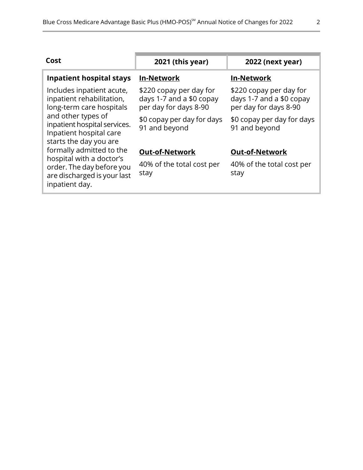| Cost                                                                                                    | 2021 (this year)                                                             | <b>2022 (next year)</b>                                                      |
|---------------------------------------------------------------------------------------------------------|------------------------------------------------------------------------------|------------------------------------------------------------------------------|
| <b>Inpatient hospital stays</b>                                                                         | <b>In-Network</b>                                                            | <b>In-Network</b>                                                            |
| Includes inpatient acute,<br>inpatient rehabilitation,<br>long-term care hospitals                      | \$220 copay per day for<br>days 1-7 and a \$0 copay<br>per day for days 8-90 | \$220 copay per day for<br>days 1-7 and a \$0 copay<br>per day for days 8-90 |
| and other types of<br>inpatient hospital services.<br>Inpatient hospital care<br>starts the day you are | \$0 copay per day for days<br>91 and beyond                                  | \$0 copay per day for days<br>91 and beyond                                  |
| formally admitted to the                                                                                | <b>Out-of-Network</b>                                                        | <b>Out-of-Network</b>                                                        |
| hospital with a doctor's<br>order. The day before you<br>are discharged is your last<br>inpatient day.  | 40% of the total cost per<br>stay                                            | 40% of the total cost per<br>stay                                            |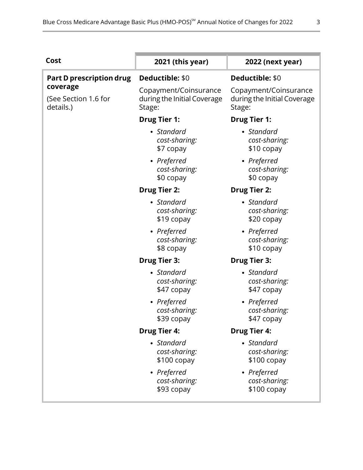| Cost                                          | 2021 (this year)                                               | 2022 (next year)                                               |
|-----------------------------------------------|----------------------------------------------------------------|----------------------------------------------------------------|
| <b>Part D prescription drug</b>               | Deductible: \$0                                                | Deductible: \$0                                                |
| coverage<br>(See Section 1.6 for<br>details.) | Copayment/Coinsurance<br>during the Initial Coverage<br>Stage: | Copayment/Coinsurance<br>during the Initial Coverage<br>Stage: |
|                                               | <b>Drug Tier 1:</b>                                            | <b>Drug Tier 1:</b>                                            |
|                                               | • Standard<br>cost-sharing:<br>\$7 copay                       | • Standard<br>cost-sharing:<br>\$10 copay                      |
|                                               | • Preferred<br>cost-sharing:<br>\$0 copay                      | • Preferred<br>cost-sharing:<br>\$0 copay                      |
|                                               | <b>Drug Tier 2:</b>                                            | <b>Drug Tier 2:</b>                                            |
|                                               | • Standard<br>cost-sharing:<br>\$19 copay                      | • Standard<br>cost-sharing:<br>\$20 copay                      |
|                                               | • Preferred<br>cost-sharing:<br>\$8 copay                      | • Preferred<br>cost-sharing:<br>\$10 copay                     |
|                                               | <b>Drug Tier 3:</b>                                            | <b>Drug Tier 3:</b>                                            |
|                                               | • Standard<br>cost-sharing:<br>\$47 copay                      | • Standard<br>cost-sharing:<br>\$47 copay                      |
|                                               | • Preferred<br>cost-sharing:<br>\$39 copay                     | • Preferred<br>cost-sharing:<br>\$47 copay                     |
|                                               | <b>Drug Tier 4:</b>                                            | <b>Drug Tier 4:</b>                                            |
|                                               | • Standard<br>cost-sharing:<br>$$100$ copay                    | • Standard<br>cost-sharing:<br>$$100$ copay                    |
|                                               | • Preferred<br>cost-sharing:<br>\$93 copay                     | • Preferred<br>cost-sharing:<br>$$100$ copay                   |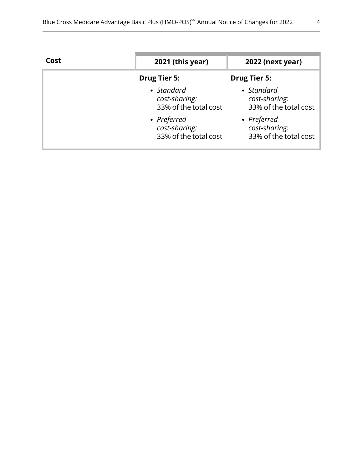| Cost | 2021 (this year)                                      | 2022 (next year)                                      |
|------|-------------------------------------------------------|-------------------------------------------------------|
|      | <b>Drug Tier 5:</b>                                   | <b>Drug Tier 5:</b>                                   |
|      | • Standard<br>cost-sharing:<br>33% of the total cost  | • Standard<br>cost-sharing:<br>33% of the total cost  |
|      | • Preferred<br>cost-sharing:<br>33% of the total cost | • Preferred<br>cost-sharing:<br>33% of the total cost |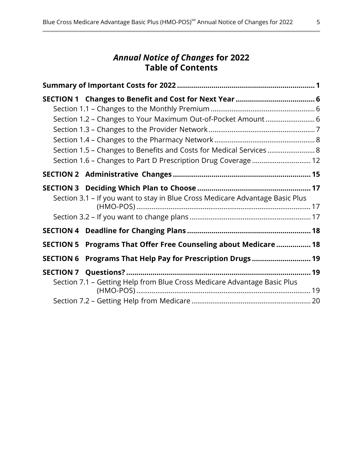# *Annual Notice of Changes* **for 2022 Table of Contents**

| Section 1.2 - Changes to Your Maximum Out-of-Pocket Amount  6                 |  |
|-------------------------------------------------------------------------------|--|
|                                                                               |  |
|                                                                               |  |
| Section 1.5 - Changes to Benefits and Costs for Medical Services 8            |  |
| Section 1.6 - Changes to Part D Prescription Drug Coverage  12                |  |
|                                                                               |  |
|                                                                               |  |
| Section 3.1 - If you want to stay in Blue Cross Medicare Advantage Basic Plus |  |
|                                                                               |  |
|                                                                               |  |
| SECTION 5 Programs That Offer Free Counseling about Medicare  18              |  |
| SECTION 6 Programs That Help Pay for Prescription Drugs 19                    |  |
|                                                                               |  |
| Section 7.1 - Getting Help from Blue Cross Medicare Advantage Basic Plus      |  |
|                                                                               |  |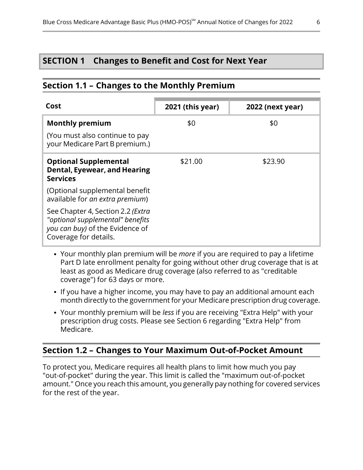### <span id="page-8-2"></span>**SECTION 1 Changes to Benefit and Cost for Next Year**

### <span id="page-8-0"></span>**Section 1.1 – Changes to the Monthly Premium**

| Cost                                                                                                                                      | 2021 (this year) | <b>2022 (next year)</b> |
|-------------------------------------------------------------------------------------------------------------------------------------------|------------------|-------------------------|
| <b>Monthly premium</b>                                                                                                                    | \$0              | \$0                     |
| (You must also continue to pay<br>your Medicare Part B premium.)                                                                          |                  |                         |
| <b>Optional Supplemental</b><br>Dental, Eyewear, and Hearing<br><b>Services</b>                                                           | \$21.00          | \$23.90                 |
| (Optional supplemental benefit<br>available for an extra premium)                                                                         |                  |                         |
| See Chapter 4, Section 2.2 ( <i>Extra</i><br>"optional supplemental" benefits<br>you can buy) of the Evidence of<br>Coverage for details. |                  |                         |

- Your monthly plan premium will be *more* if you are required to pay a lifetime Part D late enrollment penalty for going without other drug coverage that is at least as good as Medicare drug coverage (also referred to as "creditable coverage") for 63 days or more.
- If you have a higher income, you may have to pay an additional amount each month directly to the government for your Medicare prescription drug coverage.
- <span id="page-8-1"></span>Your monthly premium will be *less* if you are receiving "Extra Help" with your prescription drug costs. Please see Section [6](#page-21-0) regarding "Extra Help" from Medicare.

### **Section 1.2 – Changes to Your Maximum Out-of-Pocket Amount**

l

To protect you, Medicare requires all health plans to limit how much you pay "out-of-pocket" during the year. This limit is called the "maximum out-of-pocket amount." Once you reach this amount, you generally pay nothing for covered services for the rest of the year.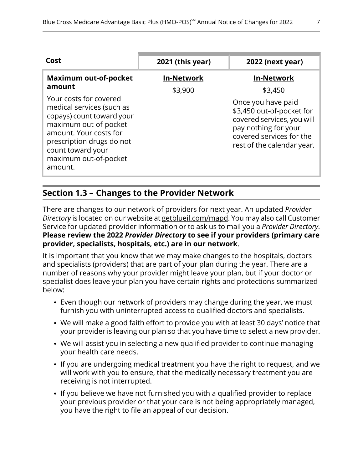| Cost                                                                                                                                                                                                                      | 2021 (this year)  | <b>2022 (next year)</b>                                                                                                                                                    |
|---------------------------------------------------------------------------------------------------------------------------------------------------------------------------------------------------------------------------|-------------------|----------------------------------------------------------------------------------------------------------------------------------------------------------------------------|
| <b>Maximum out-of-pocket</b><br>amount                                                                                                                                                                                    | <b>In-Network</b> | <b>In-Network</b>                                                                                                                                                          |
| Your costs for covered<br>medical services (such as<br>copays) count toward your<br>maximum out-of-pocket<br>amount. Your costs for<br>prescription drugs do not<br>count toward your<br>maximum out-of-pocket<br>amount. | \$3,900           | \$3,450<br>Once you have paid<br>\$3,450 out-of-pocket for<br>covered services, you will<br>pay nothing for your<br>covered services for the<br>rest of the calendar year. |

### **Section 1.3 – Changes to the Provider Network**

<span id="page-9-0"></span>l

There are changes to our network of providers for next year. An updated *Provider Directory* is located on our website at [getblueil.com/mapd.](https://www.bcbsil.com/medicare/blue-cross-medicare-options/mapd) You may also call Customer Service for updated provider information or to ask us to mail you a *Provider Directory*. **Please review the 2022** *Provider Directory* **to see if your providers (primary care provider, specialists, hospitals, etc.) are in our network**.

It is important that you know that we may make changes to the hospitals, doctors and specialists (providers) that are part of your plan during the year. There are a number of reasons why your provider might leave your plan, but if your doctor or specialist does leave your plan you have certain rights and protections summarized below:

- Even though our network of providers may change during the year, we must furnish you with uninterrupted access to qualified doctors and specialists.
- We will make a good faith effort to provide you with at least 30 days' notice that your provider is leaving our plan so that you have time to select a new provider.
- We will assist you in selecting a new qualified provider to continue managing your health care needs.
- If you are undergoing medical treatment you have the right to request, and we will work with you to ensure, that the medically necessary treatment you are receiving is not interrupted.
- If you believe we have not furnished you with a qualified provider to replace your previous provider or that your care is not being appropriately managed, you have the right to file an appeal of our decision.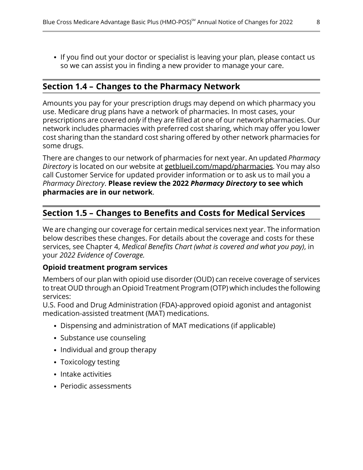<span id="page-10-1"></span>• If you find out your doctor or specialist is leaving your plan, please contact us so we can assist you in finding a new provider to manage your care.

#### **Section 1.4 – Changes to the Pharmacy Network**

Amounts you pay for your prescription drugs may depend on which pharmacy you use. Medicare drug plans have a network of pharmacies. In most cases, your prescriptions are covered *only* if they are filled at one of our network pharmacies. Our network includes pharmacies with preferred cost sharing, which may offer you lower cost sharing than the standard cost sharing offered by other network pharmacies for some drugs.

There are changes to our network of pharmacies for next year. An updated *Pharmacy Directory* is located on our website at [getblueil.com/mapd/pharmacies](https://www.bcbsil.com/medicare/blue-cross-medicare-options/mapd/using-your-plan/pharmacies). You may also call Customer Service for updated provider information or to ask us to mail you a *Pharmacy Directory*. **Please review the 2022** *Pharmacy Directory* **to see which pharmacies are in our network**.

### **Section 1.5 – Changes to Benefits and Costs for Medical Services**

We are changing our coverage for certain medical services next year. The information below describes these changes. For details about the coverage and costs for these services, see Chapter 4, *Medical Benefits Chart (what is covered and what you pay)*, in your *2022 Evidence of Coverage.*

#### **Opioid treatment program services**

Members of our plan with opioid use disorder (OUD) can receive coverage of services to treat OUD through an Opioid Treatment Program (OTP) which includes the following services:

U.S. Food and Drug Administration (FDA)-approved opioid agonist and antagonist medication-assisted treatment (MAT) medications.

- Dispensing and administration of MAT medications (if applicable)
- Substance use counseling
- Individual and group therapy
- Toxicology testing
- Intake activities

l

<span id="page-10-0"></span>l

• Periodic assessments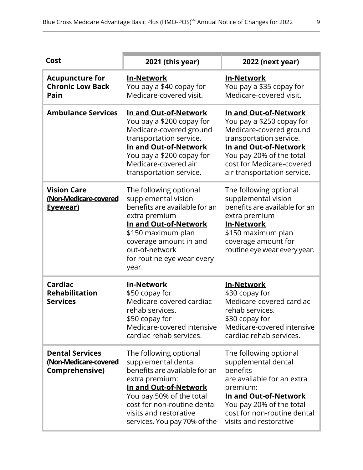| Cost                                                              | 2021 (this year)                                                                                                                                                                                                                               | 2022 (next year)                                                                                                                                                                                                          |
|-------------------------------------------------------------------|------------------------------------------------------------------------------------------------------------------------------------------------------------------------------------------------------------------------------------------------|---------------------------------------------------------------------------------------------------------------------------------------------------------------------------------------------------------------------------|
| <b>Acupuncture for</b><br><b>Chronic Low Back</b><br>Pain         | <b>In-Network</b><br>You pay a \$40 copay for<br>Medicare-covered visit.                                                                                                                                                                       | <b>In-Network</b><br>You pay a \$35 copay for<br>Medicare-covered visit.                                                                                                                                                  |
| <b>Ambulance Services</b>                                         | In and Out-of-Network<br>You pay a \$200 copay for<br>Medicare-covered ground<br>transportation service.<br>In and Out-of-Network<br>You pay a \$200 copay for<br>Medicare-covered air<br>transportation service.                              | In and Out-of-Network<br>You pay a \$250 copay for<br>Medicare-covered ground<br>transportation service.<br>In and Out-of-Network<br>You pay 20% of the total<br>cost for Medicare-covered<br>air transportation service. |
| <b>Vision Care</b><br>(Non-Medicare-covered<br>Eyewear)           | The following optional<br>supplemental vision<br>benefits are available for an<br>extra premium<br>In and Out-of-Network<br>\$150 maximum plan<br>coverage amount in and<br>out-of-network<br>for routine eye wear every<br>year.              | The following optional<br>supplemental vision<br>benefits are available for an<br>extra premium<br><b>In-Network</b><br>\$150 maximum plan<br>coverage amount for<br>routine eye wear every year.                         |
| Cardiac<br><b>Rehabilitation</b><br><b>Services</b>               | <b>In-Network</b><br>\$50 copay for<br>Medicare-covered cardiac<br>rehab services.<br>\$50 copay for<br>Medicare-covered intensive<br>cardiac rehab services.                                                                                  | <b>In-Network</b><br>\$30 copay for<br>Medicare-covered cardiac<br>rehab services.<br>\$30 copay for<br>Medicare-covered intensive<br>cardiac rehab services.                                                             |
| <b>Dental Services</b><br>(Non-Medicare-covered<br>Comprehensive) | The following optional<br>supplemental dental<br>benefits are available for an<br>extra premium:<br>In and Out-of-Network<br>You pay 50% of the total<br>cost for non-routine dental<br>visits and restorative<br>services. You pay 70% of the | The following optional<br>supplemental dental<br>benefits<br>are available for an extra<br>premium:<br>In and Out-of-Network<br>You pay 20% of the total<br>cost for non-routine dental<br>visits and restorative         |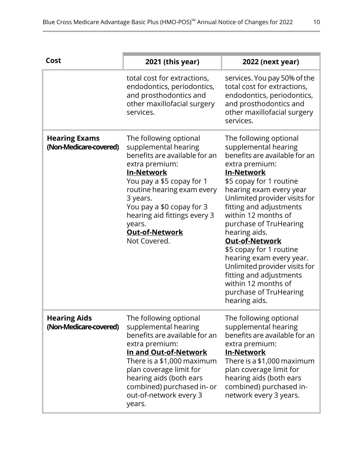| Cost                                           | 2021 (this year)                                                                                                                                                                                                                                                                                              | 2022 (next year)                                                                                                                                                                                                                                                                                                                                                                                                                                                                                                         |
|------------------------------------------------|---------------------------------------------------------------------------------------------------------------------------------------------------------------------------------------------------------------------------------------------------------------------------------------------------------------|--------------------------------------------------------------------------------------------------------------------------------------------------------------------------------------------------------------------------------------------------------------------------------------------------------------------------------------------------------------------------------------------------------------------------------------------------------------------------------------------------------------------------|
|                                                | total cost for extractions,<br>endodontics, periodontics,<br>and prosthodontics and<br>other maxillofacial surgery<br>services.                                                                                                                                                                               | services. You pay 50% of the<br>total cost for extractions,<br>endodontics, periodontics,<br>and prosthodontics and<br>other maxillofacial surgery<br>services.                                                                                                                                                                                                                                                                                                                                                          |
| <b>Hearing Exams</b><br>(Non-Medicare-covered) | The following optional<br>supplemental hearing<br>benefits are available for an<br>extra premium:<br><b>In-Network</b><br>You pay a \$5 copay for 1<br>routine hearing exam every<br>3 years.<br>You pay a \$0 copay for 3<br>hearing aid fittings every 3<br>years.<br><b>Out-of-Network</b><br>Not Covered. | The following optional<br>supplemental hearing<br>benefits are available for an<br>extra premium:<br><b>In-Network</b><br>\$5 copay for 1 routine<br>hearing exam every year<br>Unlimited provider visits for<br>fitting and adjustments<br>within 12 months of<br>purchase of TruHearing<br>hearing aids.<br><b>Out-of-Network</b><br>\$5 copay for 1 routine<br>hearing exam every year.<br>Unlimited provider visits for<br>fitting and adjustments<br>within 12 months of<br>purchase of TruHearing<br>hearing aids. |
| <b>Hearing Aids</b><br>(Non-Medicare-covered)  | The following optional<br>supplemental hearing<br>benefits are available for an<br>extra premium:<br>In and Out-of-Network<br>There is a \$1,000 maximum<br>plan coverage limit for<br>hearing aids (both ears<br>combined) purchased in- or<br>out-of-network every 3<br>years.                              | The following optional<br>supplemental hearing<br>benefits are available for an<br>extra premium:<br><u>In-Network</u><br>There is a \$1,000 maximum<br>plan coverage limit for<br>hearing aids (both ears<br>combined) purchased in-<br>network every 3 years.                                                                                                                                                                                                                                                          |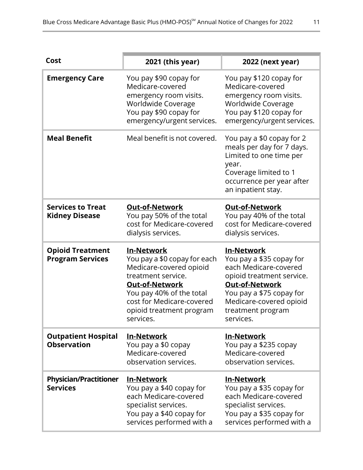| Cost                                               | 2021 (this year)                                                                                                                                                                                                       | 2022 (next year)                                                                                                                                                                                                      |
|----------------------------------------------------|------------------------------------------------------------------------------------------------------------------------------------------------------------------------------------------------------------------------|-----------------------------------------------------------------------------------------------------------------------------------------------------------------------------------------------------------------------|
| <b>Emergency Care</b>                              | You pay \$90 copay for<br>Medicare-covered<br>emergency room visits.<br>Worldwide Coverage<br>You pay \$90 copay for<br>emergency/urgent services.                                                                     | You pay \$120 copay for<br>Medicare-covered<br>emergency room visits.<br>Worldwide Coverage<br>You pay \$120 copay for<br>emergency/urgent services.                                                                  |
| <b>Meal Benefit</b>                                | Meal benefit is not covered.                                                                                                                                                                                           | You pay a \$0 copay for 2<br>meals per day for 7 days.<br>Limited to one time per<br>year.<br>Coverage limited to 1<br>occurrence per year after<br>an inpatient stay.                                                |
| <b>Services to Treat</b><br><b>Kidney Disease</b>  | <b>Out-of-Network</b><br>You pay 50% of the total<br>cost for Medicare-covered<br>dialysis services.                                                                                                                   | <b>Out-of-Network</b><br>You pay 40% of the total<br>cost for Medicare-covered<br>dialysis services.                                                                                                                  |
| <b>Opioid Treatment</b><br><b>Program Services</b> | <b>In-Network</b><br>You pay a \$0 copay for each<br>Medicare-covered opioid<br>treatment service.<br>Out-of-Network<br>You pay 40% of the total<br>cost for Medicare-covered<br>opioid treatment program<br>services. | <b>In-Network</b><br>You pay a \$35 copay for<br>each Medicare-covered<br>opioid treatment service.<br><b>Out-of-Network</b><br>You pay a \$75 copay for<br>Medicare-covered opioid<br>treatment program<br>services. |
| <b>Outpatient Hospital</b><br><b>Observation</b>   | <u>In-Network</u><br>You pay a \$0 copay<br>Medicare-covered<br>observation services.                                                                                                                                  | <u>In-Network</u><br>You pay a \$235 copay<br>Medicare-covered<br>observation services.                                                                                                                               |
| <b>Physician/Practitioner</b><br><b>Services</b>   | <b>In-Network</b><br>You pay a \$40 copay for<br>each Medicare-covered<br>specialist services.<br>You pay a \$40 copay for<br>services performed with a                                                                | <b>In-Network</b><br>You pay a \$35 copay for<br>each Medicare-covered<br>specialist services.<br>You pay a \$35 copay for<br>services performed with a                                                               |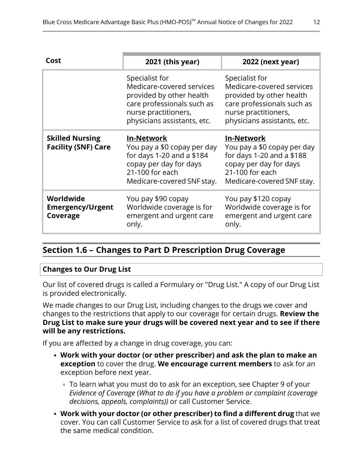| Cost                                                 | 2021 (this year)                                                                                                                                             | 2022 (next year)                                                                                                                                             |
|------------------------------------------------------|--------------------------------------------------------------------------------------------------------------------------------------------------------------|--------------------------------------------------------------------------------------------------------------------------------------------------------------|
|                                                      | Specialist for<br>Medicare-covered services<br>provided by other health<br>care professionals such as<br>nurse practitioners,<br>physicians assistants, etc. | Specialist for<br>Medicare-covered services<br>provided by other health<br>care professionals such as<br>nurse practitioners,<br>physicians assistants, etc. |
| <b>Skilled Nursing</b><br><b>Facility (SNF) Care</b> | <b>In-Network</b><br>You pay a \$0 copay per day<br>for days 1-20 and a \$184<br>copay per day for days<br>21-100 for each<br>Medicare-covered SNF stay.     | <b>In-Network</b><br>You pay a \$0 copay per day<br>for days 1-20 and a \$188<br>copay per day for days<br>21-100 for each<br>Medicare-covered SNF stay.     |
| Worldwide<br><b>Emergency/Urgent</b><br>Coverage     | You pay \$90 copay<br>Worldwide coverage is for<br>emergent and urgent care<br>only.                                                                         | You pay \$120 copay<br>Worldwide coverage is for<br>emergent and urgent care<br>only.                                                                        |

### **Section 1.6 – Changes to Part D Prescription Drug Coverage**

#### **Changes to Our Drug List**

<span id="page-14-0"></span>l

Our list of covered drugs is called a Formulary or "Drug List." A copy of our Drug List is provided electronically.

We made changes to our Drug List, including changes to the drugs we cover and changes to the restrictions that apply to our coverage for certain drugs. **Review the Drug List to make sure your drugs will be covered next year and to see if there will be any restrictions.**

If you are affected by a change in drug coverage, you can:

- **Work with your doctor (or other prescriber) and ask the plan to make an exception** to cover the drug. **We encourage current members** to ask for an exception before next year.
	- To learn what you must do to ask for an exception, see Chapter 9 of your *Evidence of Coverage* (*What to do if you have a problem or complaint (coverage decisions, appeals, complaints))* or call Customer Service.
- **Work with your doctor (or other prescriber) to find a different drug** that we cover. You can call Customer Service to ask for a list of covered drugs that treat the same medical condition.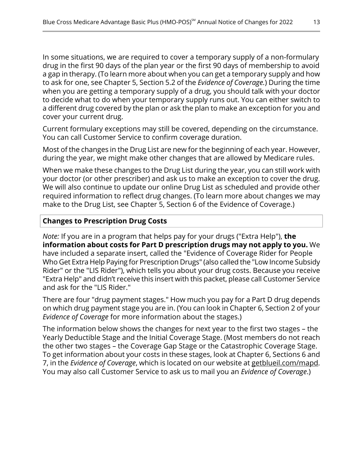In some situations, we are required to cover a temporary supply of a non-formulary drug in the first 90 days of the plan year or the first 90 days of membership to avoid a gap in therapy. (To learn more about when you can get a temporary supply and how to ask for one, see Chapter 5, Section 5.2 of the *Evidence of Coverage.*) During the time when you are getting a temporary supply of a drug, you should talk with your doctor to decide what to do when your temporary supply runs out. You can either switch to a different drug covered by the plan or ask the plan to make an exception for you and cover your current drug.

Current formulary exceptions may still be covered, depending on the circumstance. You can call Customer Service to confirm coverage duration.

Most of the changes in the Drug List are new for the beginning of each year. However, during the year, we might make other changes that are allowed by Medicare rules.

When we make these changes to the Drug List during the year, you can still work with your doctor (or other prescriber) and ask us to make an exception to cover the drug. We will also continue to update our online Drug List as scheduled and provide other required information to reflect drug changes. (To learn more about changes we may make to the Drug List, see Chapter 5, Section 6 of the Evidence of Coverage.)

#### **Changes to Prescription Drug Costs**

*Note:* If you are in a program that helps pay for your drugs ("Extra Help"), **the information about costs for Part D prescription drugs may not apply to you.** We have included a separate insert, called the "Evidence of Coverage Rider for People Who Get Extra Help Paying for Prescription Drugs" (also called the "Low Income Subsidy Rider" or the "LIS Rider"), which tells you about your drug costs. Because you receive "Extra Help" and didn't receive this insert with this packet, please call Customer Service and ask for the "LIS Rider."

There are four "drug payment stages." How much you pay for a Part D drug depends on which drug payment stage you are in. (You can look in Chapter 6, Section 2 of your *Evidence of Coverage* for more information about the stages.)

The information below shows the changes for next year to the first two stages – the Yearly Deductible Stage and the Initial Coverage Stage. (Most members do not reach the other two stages – the Coverage Gap Stage or the Catastrophic Coverage Stage. To get information about your costs in these stages, look at Chapter 6, Sections 6 and 7, in the *Evidence of Coverage*, which is located on our website at [getblueil.com/mapd.](https://www.bcbsil.com/medicare/blue-cross-medicare-options/mapd) You may also call Customer Service to ask us to mail you an *Evidence of Coverage*.)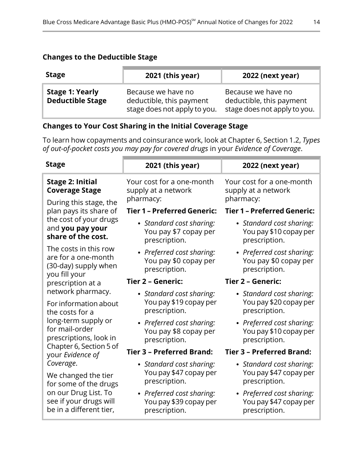### **Changes to the Deductible Stage**

| <b>Stage</b>                                      | 2021 (this year)                                                               | 2022 (next year)                                                               |
|---------------------------------------------------|--------------------------------------------------------------------------------|--------------------------------------------------------------------------------|
| <b>Stage 1: Yearly</b><br><b>Deductible Stage</b> | Because we have no<br>deductible, this payment<br>stage does not apply to you. | Because we have no<br>deductible, this payment<br>stage does not apply to you. |

#### **Changes to Your Cost Sharing in the Initial Coverage Stage**

To learn how copayments and coinsurance work, look at Chapter 6, Section 1.2, *Types of out-of-pocket costs you may pay for covered drugs* in your *Evidence of Coverage*.

| <b>Stage</b>                                                                                                                           | 2021 (this year)                                                     | 2022 (next year)                                                     |
|----------------------------------------------------------------------------------------------------------------------------------------|----------------------------------------------------------------------|----------------------------------------------------------------------|
| <b>Stage 2: Initial</b><br><b>Coverage Stage</b><br>During this stage, the                                                             | Your cost for a one-month<br>supply at a network<br>pharmacy:        | Your cost for a one-month<br>supply at a network<br>pharmacy:        |
| plan pays its share of                                                                                                                 | <b>Tier 1 - Preferred Generic:</b>                                   | <b>Tier 1 - Preferred Generic:</b>                                   |
| the cost of your drugs<br>and you pay your<br>share of the cost.                                                                       | • Standard cost sharing:<br>You pay \$7 copay per<br>prescription.   | • Standard cost sharing:<br>You pay \$10 copay per<br>prescription.  |
| The costs in this row<br>are for a one-month<br>(30-day) supply when<br>you fill your                                                  | • Preferred cost sharing:<br>You pay \$0 copay per<br>prescription.  | • Preferred cost sharing:<br>You pay \$0 copay per<br>prescription.  |
| prescription at a                                                                                                                      | Tier 2 - Generic:                                                    | Tier 2 - Generic:                                                    |
| network pharmacy.<br>For information about<br>the costs for a                                                                          | • Standard cost sharing:<br>You pay \$19 copay per<br>prescription.  | • Standard cost sharing:<br>You pay \$20 copay per<br>prescription.  |
| long-term supply or<br>for mail-order<br>prescriptions, look in                                                                        | • Preferred cost sharing:<br>You pay \$8 copay per<br>prescription.  | • Preferred cost sharing:<br>You pay \$10 copay per<br>prescription. |
| Chapter 6, Section 5 of<br>your Evidence of                                                                                            | <b>Tier 3 - Preferred Brand:</b>                                     | <b>Tier 3 - Preferred Brand:</b>                                     |
| Coverage.<br>We changed the tier<br>for some of the drugs<br>on our Drug List. To<br>see if your drugs will<br>be in a different tier, | • Standard cost sharing:<br>You pay \$47 copay per<br>prescription.  | • Standard cost sharing:<br>You pay \$47 copay per<br>prescription.  |
|                                                                                                                                        | • Preferred cost sharing:<br>You pay \$39 copay per<br>prescription. | • Preferred cost sharing:<br>You pay \$47 copay per<br>prescription. |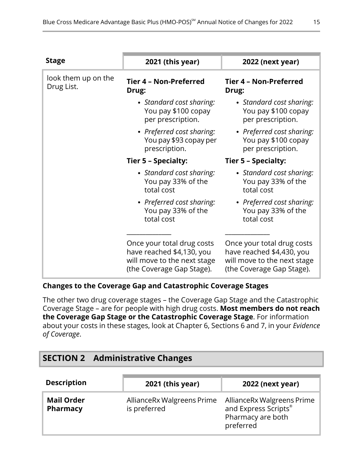| <b>Stage</b>                      | 2021 (this year)                                                                                                    | 2022 (next year)                                                                                                    |
|-----------------------------------|---------------------------------------------------------------------------------------------------------------------|---------------------------------------------------------------------------------------------------------------------|
| look them up on the<br>Drug List. | Tier 4 - Non-Preferred<br>Drug:                                                                                     | Tier 4 - Non-Preferred<br>Drug:                                                                                     |
|                                   | • Standard cost sharing:<br>You pay \$100 copay<br>per prescription.                                                | • Standard cost sharing:<br>You pay \$100 copay<br>per prescription.                                                |
|                                   | • Preferred cost sharing:<br>You pay \$93 copay per<br>prescription.                                                | • Preferred cost sharing:<br>You pay \$100 copay<br>per prescription.                                               |
|                                   | Tier 5 - Specialty:                                                                                                 | Tier 5 - Specialty:                                                                                                 |
|                                   | • Standard cost sharing:<br>You pay 33% of the<br>total cost                                                        | • Standard cost sharing:<br>You pay 33% of the<br>total cost                                                        |
|                                   | • Preferred cost sharing:<br>You pay 33% of the<br>total cost                                                       | • Preferred cost sharing:<br>You pay 33% of the<br>total cost                                                       |
|                                   | Once your total drug costs<br>have reached \$4,130, you<br>will move to the next stage<br>(the Coverage Gap Stage). | Once your total drug costs<br>have reached \$4,430, you<br>will move to the next stage<br>(the Coverage Gap Stage). |

### **Changes to the Coverage Gap and Catastrophic Coverage Stages**

<span id="page-17-0"></span>The other two drug coverage stages – the Coverage Gap Stage and the Catastrophic Coverage Stage – are for people with high drug costs. **Most members do not reach the Coverage Gap Stage or the Catastrophic Coverage Stage**. For information about your costs in these stages, look at Chapter 6, Sections 6 and 7, in your *Evidence of Coverage*.

# **SECTION 2 Administrative Changes**

| <b>Description</b>                   | 2021 (this year)                            | <b>2022 (next year)</b>                                                              |
|--------------------------------------|---------------------------------------------|--------------------------------------------------------------------------------------|
| <b>Mail Order</b><br><b>Pharmacy</b> | Alliance Rx Walgreens Prime<br>is preferred | AllianceRx Walgreens Prime<br>and Express Scripts®<br>Pharmacy are both<br>preferred |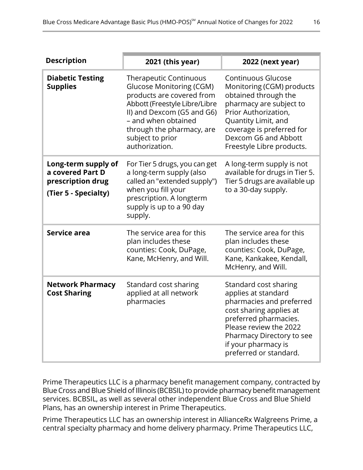| <b>Description</b>                                                                   | 2021 (this year)                                                                                                                                                                                                                                       | 2022 (next year)                                                                                                                                                                                                                           |
|--------------------------------------------------------------------------------------|--------------------------------------------------------------------------------------------------------------------------------------------------------------------------------------------------------------------------------------------------------|--------------------------------------------------------------------------------------------------------------------------------------------------------------------------------------------------------------------------------------------|
| <b>Diabetic Testing</b><br><b>Supplies</b>                                           | <b>Therapeutic Continuous</b><br><b>Glucose Monitoring (CGM)</b><br>products are covered from<br>Abbott (Freestyle Libre/Libre<br>II) and Dexcom (G5 and G6)<br>- and when obtained<br>through the pharmacy, are<br>subject to prior<br>authorization. | <b>Continuous Glucose</b><br>Monitoring (CGM) products<br>obtained through the<br>pharmacy are subject to<br>Prior Authorization,<br>Quantity Limit, and<br>coverage is preferred for<br>Dexcom G6 and Abbott<br>Freestyle Libre products. |
| Long-term supply of<br>a covered Part D<br>prescription drug<br>(Tier 5 - Specialty) | For Tier 5 drugs, you can get<br>a long-term supply (also<br>called an "extended supply")<br>when you fill your<br>prescription. A longterm<br>supply is up to a 90 day<br>supply.                                                                     | A long-term supply is not<br>available for drugs in Tier 5.<br>Tier 5 drugs are available up<br>to a 30-day supply.                                                                                                                        |
| Service area                                                                         | The service area for this<br>plan includes these<br>counties: Cook, DuPage,<br>Kane, McHenry, and Will.                                                                                                                                                | The service area for this<br>plan includes these<br>counties: Cook, DuPage,<br>Kane, Kankakee, Kendall,<br>McHenry, and Will.                                                                                                              |
| <b>Network Pharmacy</b><br><b>Cost Sharing</b>                                       | Standard cost sharing<br>applied at all network<br>pharmacies                                                                                                                                                                                          | Standard cost sharing<br>applies at standard<br>pharmacies and preferred<br>cost sharing applies at<br>preferred pharmacies.<br>Please review the 2022<br>Pharmacy Directory to see<br>if your pharmacy is<br>preferred or standard.       |

Prime Therapeutics LLC is a pharmacy benefit management company, contracted by Blue Cross and Blue Shield of Illinois (BCBSIL)to provide pharmacy benefit management services. BCBSIL, as well as several other independent Blue Cross and Blue Shield Plans, has an ownership interest in Prime Therapeutics.

Prime Therapeutics LLC has an ownership interest in AllianceRx Walgreens Prime, a central specialty pharmacy and home delivery pharmacy. Prime Therapeutics LLC,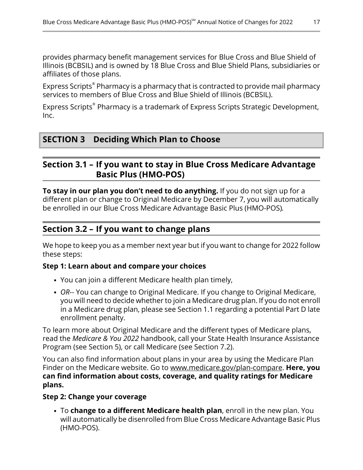provides pharmacy benefit management services for Blue Cross and Blue Shield of Illinois (BCBSIL) and is owned by 18 Blue Cross and Blue Shield Plans, subsidiaries or affiliates of those plans.

Express Scripts® Pharmacy is a pharmacy that is contracted to provide mail pharmacy services to members of Blue Cross and Blue Shield of Illinois (BCBSIL).

Express Scripts® Pharmacy is a trademark of Express Scripts Strategic Development, Inc.

# <span id="page-19-2"></span><span id="page-19-1"></span>**SECTION 3 Deciding Which Plan to Choose**

## **Section 3.1 – If you want to stay in Blue Cross Medicare Advantage Basic Plus (HMO-POS)**

**To stay in our plan you don't need to do anything.** If you do not sign up for a different plan or change to Original Medicare by December 7, you will automatically be enrolled in our Blue Cross Medicare Advantage Basic Plus (HMO-POS)*.*

# **Section 3.2 – If you want to change plans**

<span id="page-19-0"></span>l

We hope to keep you as a member next year but if you want to change for 2022 follow these steps:

#### **Step 1: Learn about and compare your choices**

- You can join a different Medicare health plan timely,
- *OR*-- You can change to Original Medicare. If you change to Original Medicare, you will need to decide whether to join a Medicare drug plan. If you do not enroll in a Medicare drug plan, please see Section [1.1](#page-8-0) regarding a potential Part D late enrollment penalty.

To learn more about Original Medicare and the different types of Medicare plans, read the *Medicare & You 2022* handbook, call your State Health Insurance Assistance Program (see Section [5](#page-20-1)), or call Medicare (see Section [7.2\)](#page-22-0).

You can also find information about plans in your area by using the Medicare Plan Finder on the Medicare website. Go to [www.medicare.gov/plan-compare](http://www.medicare.gov/plan-compare). **Here, you can find information about costs, coverage, and quality ratings for Medicare plans.**

#### **Step 2: Change your coverage**

To **change to a different Medicare health plan**, enroll in the new plan. You will automatically be disenrolled from Blue Cross Medicare Advantage Basic Plus (HMO-POS).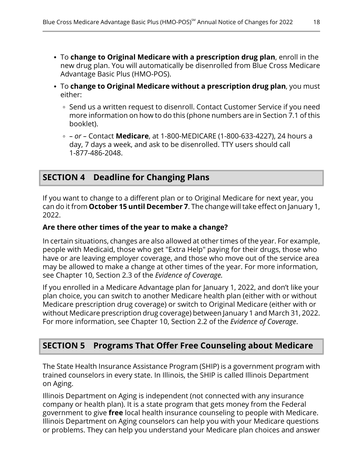- To **change to Original Medicare with a prescription drug plan**, enroll in the new drug plan. You will automatically be disenrolled from Blue Cross Medicare Advantage Basic Plus (HMO-POS).
- To **change to Original Medicare without a prescription drug plan**, you must either:
	- ∘ Send us a written request to disenroll. Contact Customer Service if you need more information on how to do this (phone numbers are in Section [7.1](#page-21-2) of this booklet).
	- *– or –* Contact **Medicare**, at 1-800-MEDICARE (1-800-633-4227), 24 hours a day, 7 days a week, and ask to be disenrolled. TTY users should call 1-877-486-2048.

# <span id="page-20-0"></span>**SECTION 4 Deadline for Changing Plans**

If you want to change to a different plan or to Original Medicare for next year, you can do it from **October 15 until December 7**. The change will take effect on January 1, 2022.

#### **Are there other times of the year to make a change?**

In certain situations, changes are also allowed at other times of the year. For example, people with Medicaid, those who get "Extra Help" paying for their drugs, those who have or are leaving employer coverage, and those who move out of the service area may be allowed to make a change at other times of the year. For more information, see Chapter 10, Section 2.3 of the *Evidence of Coverage.*

<span id="page-20-1"></span>If you enrolled in a Medicare Advantage plan for January 1, 2022, and don't like your plan choice, you can switch to another Medicare health plan (either with or without Medicare prescription drug coverage) or switch to Original Medicare (either with or without Medicare prescription drug coverage) between January 1 and March 31, 2022. For more information, see Chapter 10, Section 2.2 of the *Evidence of Coverage*.

# **SECTION 5 Programs That Offer Free Counseling about Medicare**

The State Health Insurance Assistance Program (SHIP) is a government program with trained counselors in every state. In Illinois, the SHIP is called Illinois Department on Aging.

Illinois Department on Aging is independent (not connected with any insurance company or health plan). It is a state program that gets money from the Federal government to give **free** local health insurance counseling to people with Medicare. Illinois Department on Aging counselors can help you with your Medicare questions or problems. They can help you understand your Medicare plan choices and answer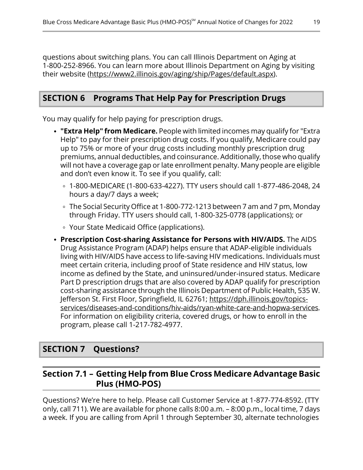questions about switching plans. You can call Illinois Department on Aging at 1-800-252-8966. You can learn more about Illinois Department on Aging by visiting their website [\(https://www2.illinois.gov/aging/ship/Pages/default.aspx](https://www2.illinois.gov/aging/ship/Pages/default.aspx)).

# <span id="page-21-0"></span>**SECTION 6 Programs That Help Pay for Prescription Drugs**

You may qualify for help paying for prescription drugs.

- **"Extra Help" from Medicare.** People with limited incomes may qualify for "Extra Help" to pay for their prescription drug costs. If you qualify, Medicare could pay up to 75% or more of your drug costs including monthly prescription drug premiums, annual deductibles, and coinsurance. Additionally, those who qualify will not have a coverage gap or late enrollment penalty. Many people are eligible and don't even know it. To see if you qualify, call:
	- 1-800-MEDICARE (1-800-633-4227). TTY users should call 1-877-486-2048, 24 hours a day/7 days a week;
	- The Social Security Office at 1-800-772-1213 between 7 am and 7 pm, Monday through Friday. TTY users should call, 1-800-325-0778 (applications); or
	- Your State Medicaid Office (applications).
- **Prescription Cost-sharing Assistance for Persons with HIV/AIDS.** The AIDS Drug Assistance Program (ADAP) helps ensure that ADAP-eligible individuals living with HIV/AIDS have access to life-saving HIV medications. Individuals must meet certain criteria, including proof of State residence and HIV status, low income as defined by the State, and uninsured/under-insured status. Medicare Part D prescription drugs that are also covered by ADAP qualify for prescription cost-sharing assistance through the Illinois Department of Public Health, 535 W. Jefferson St. First Floor, Springfield, IL 62761; [https://dph.illinois.gov/topics](https://dph.illinois.gov/topics-services/diseases-and-conditions/hiv-aids/ryan-white-care-and-hopwa-services) [services/diseases-and-conditions/hiv-aids/ryan-white-care-and-hopwa-services.](https://dph.illinois.gov/topics-services/diseases-and-conditions/hiv-aids/ryan-white-care-and-hopwa-services) For information on eligibility criteria, covered drugs, or how to enroll in the program, please call 1-217-782-4977.

## <span id="page-21-2"></span><span id="page-21-1"></span>**SECTION 7 Questions?**

# **Section 7.1 – Getting Help from Blue Cross Medicare Advantage Basic Plus (HMO-POS)**

Questions? We're here to help. Please call Customer Service at 1-877-774-8592. (TTY only, call 711). We are available for phone calls 8:00 a.m. – 8:00 p.m., local time, 7 days a week. If you are calling from April 1 through September 30, alternate technologies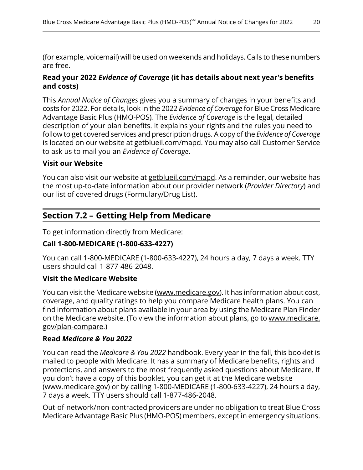(for example, voicemail) will be used on weekends and holidays. Calls to these numbers are free.

#### **Read your 2022** *Evidence of Coverage* **(it has details about next year's benefits and costs)**

This *Annual Notice of Changes* gives you a summary of changes in your benefits and costs for 2022. For details, look in the 2022 *Evidence of Coverage* for Blue Cross Medicare Advantage Basic Plus (HMO-POS)*.* The *Evidence of Coverage* is the legal, detailed description of your plan benefits. It explains your rights and the rules you need to follow to get covered services and prescription drugs. A copy of the *Evidence of Coverage* is located on our website at [getblueil.com/mapd](https://www.bcbsil.com/medicare/blue-cross-medicare-options/mapd). You may also call Customer Service to ask us to mail you an *Evidence of Coverage*.

#### **Visit our Website**

<span id="page-22-0"></span>l

You can also visit our website at [getblueil.com/mapd.](https://www.bcbsil.com/medicare/blue-cross-medicare-options/mapd) As a reminder, our website has the most up-to-date information about our provider network (*Provider Directory*) and our list of covered drugs (Formulary/Drug List).

# **Section 7.2 – Getting Help from Medicare**

To get information directly from Medicare:

#### **Call 1-800-MEDICARE (1-800-633-4227)**

You can call 1-800-MEDICARE (1-800-633-4227), 24 hours a day, 7 days a week. TTY users should call 1-877-486-2048.

### **Visit the Medicare Website**

You can visit the Medicare website ([www.medicare.gov](http://www.medicare.gov/)). It has information about cost, coverage, and quality ratings to help you compare Medicare health plans. You can find information about plans available in your area by using the Medicare Plan Finder on the Medicare website. (To view the information about plans, go to [www.medicare.](http://www.medicare.gov/plan-compare) [gov/plan-compare](http://www.medicare.gov/plan-compare).)

#### **Read** *Medicare & You 2022*

You can read the *Medicare & You 2022* handbook. Every year in the fall, this booklet is mailed to people with Medicare. It has a summary of Medicare benefits, rights and protections, and answers to the most frequently asked questions about Medicare. If you don't have a copy of this booklet, you can get it at the Medicare website ([www.medicare.gov\)](https://www.medicare.gov/) or by calling 1-800-MEDICARE (1-800-633-4227), 24 hours a day, 7 days a week. TTY users should call 1-877-486-2048.

Out-of-network/non-contracted providers are under no obligation to treat Blue Cross Medicare Advantage Basic Plus (HMO-POS) members, except in emergency situations.